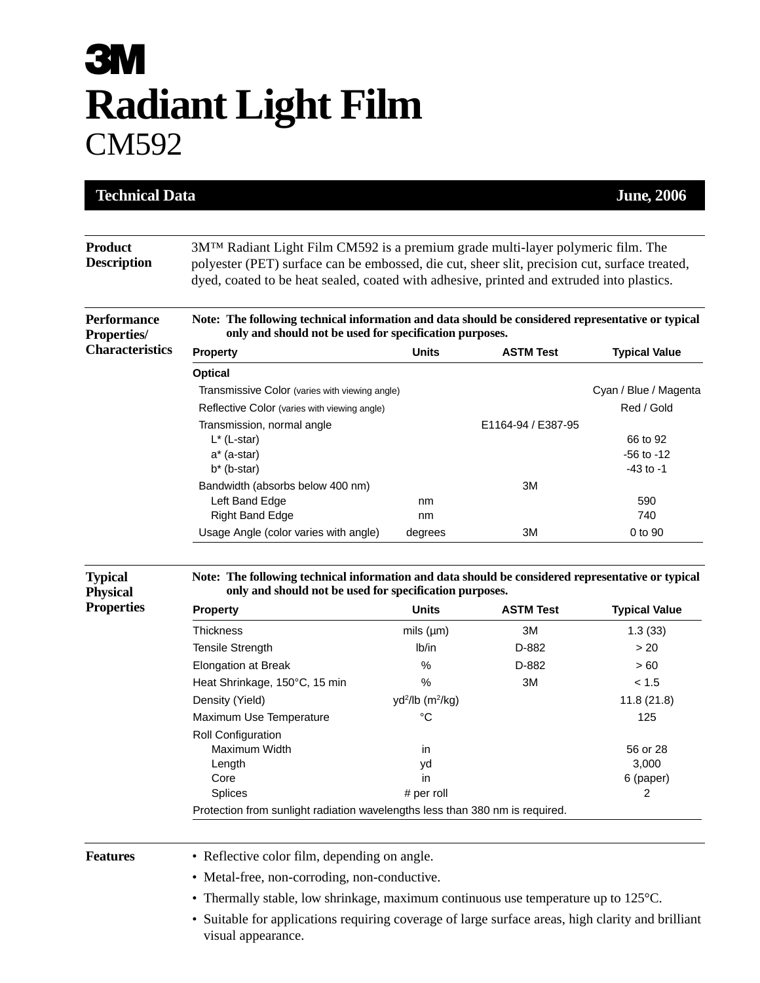# **3M Radiant Light Film**  CM592

| <b>Technical Data</b>                     |                                                                                                                                                                                                                                                                                            |                                          |                    | <b>June, 2006</b>     |
|-------------------------------------------|--------------------------------------------------------------------------------------------------------------------------------------------------------------------------------------------------------------------------------------------------------------------------------------------|------------------------------------------|--------------------|-----------------------|
|                                           |                                                                                                                                                                                                                                                                                            |                                          |                    |                       |
| <b>Product</b><br><b>Description</b>      | 3M <sup>TM</sup> Radiant Light Film CM592 is a premium grade multi-layer polymeric film. The<br>polyester (PET) surface can be embossed, die cut, sheer slit, precision cut, surface treated,<br>dyed, coated to be heat sealed, coated with adhesive, printed and extruded into plastics. |                                          |                    |                       |
| <b>Performance</b><br><b>Properties</b> / | Note: The following technical information and data should be considered representative or typical<br>only and should not be used for specification purposes.                                                                                                                               |                                          |                    |                       |
| <b>Characteristics</b>                    | <b>Property</b>                                                                                                                                                                                                                                                                            | <b>Units</b>                             | <b>ASTM Test</b>   | <b>Typical Value</b>  |
|                                           | <b>Optical</b>                                                                                                                                                                                                                                                                             |                                          |                    |                       |
|                                           | Transmissive Color (varies with viewing angle)                                                                                                                                                                                                                                             |                                          |                    | Cyan / Blue / Magenta |
|                                           | Reflective Color (varies with viewing angle)                                                                                                                                                                                                                                               |                                          |                    | Red / Gold            |
|                                           | Transmission, normal angle                                                                                                                                                                                                                                                                 |                                          | E1164-94 / E387-95 |                       |
|                                           | $L^*$ (L-star)                                                                                                                                                                                                                                                                             |                                          |                    | 66 to 92              |
|                                           | a* (a-star)                                                                                                                                                                                                                                                                                |                                          |                    | $-56$ to $-12$        |
|                                           | $b^*$ (b-star)                                                                                                                                                                                                                                                                             |                                          |                    | $-43$ to $-1$         |
|                                           | Bandwidth (absorbs below 400 nm)<br>Left Band Edge                                                                                                                                                                                                                                         | nm                                       | ЗM                 | 590                   |
|                                           | <b>Right Band Edge</b>                                                                                                                                                                                                                                                                     | nm                                       |                    | 740                   |
|                                           | Usage Angle (color varies with angle)                                                                                                                                                                                                                                                      | degrees                                  | 3M                 | 0 to 90               |
|                                           |                                                                                                                                                                                                                                                                                            |                                          |                    |                       |
| <b>Typical</b><br><b>Physical</b>         | Note: The following technical information and data should be considered representative or typical<br>only and should not be used for specification purposes.                                                                                                                               |                                          |                    |                       |
| <b>Properties</b>                         | <b>Property</b>                                                                                                                                                                                                                                                                            | <b>Units</b>                             | <b>ASTM Test</b>   | <b>Typical Value</b>  |
|                                           | <b>Thickness</b>                                                                                                                                                                                                                                                                           | mils $(\mu m)$                           | 3M                 | 1.3(33)               |
|                                           | <b>Tensile Strength</b>                                                                                                                                                                                                                                                                    | lb/in                                    | D-882              | > 20                  |
|                                           | <b>Elongation at Break</b>                                                                                                                                                                                                                                                                 | $\%$                                     | D-882              | > 60                  |
|                                           | Heat Shrinkage, 150°C, 15 min                                                                                                                                                                                                                                                              | %                                        | 3M                 | < 1.5                 |
|                                           | Density (Yield)                                                                                                                                                                                                                                                                            | yd <sup>2</sup> /lb (m <sup>2</sup> /kg) |                    | 11.8(21.8)            |
|                                           | Maximum Use Temperature                                                                                                                                                                                                                                                                    | °C                                       |                    | 125                   |
|                                           | Roll Configuration                                                                                                                                                                                                                                                                         |                                          |                    |                       |
|                                           | Maximum Width                                                                                                                                                                                                                                                                              | ın                                       |                    | 56 or 28              |
|                                           | Length                                                                                                                                                                                                                                                                                     | yd                                       |                    | 3,000                 |
|                                           | Core<br>Splices                                                                                                                                                                                                                                                                            | in<br># per roll                         |                    | 6 (paper)<br>2        |
|                                           | Protection from sunlight radiation wavelengths less than 380 nm is required.                                                                                                                                                                                                               |                                          |                    |                       |
|                                           |                                                                                                                                                                                                                                                                                            |                                          |                    |                       |
| <b>Features</b>                           | • Reflective color film, depending on angle.                                                                                                                                                                                                                                               |                                          |                    |                       |
|                                           | • Metal-free, non-corroding, non-conductive.                                                                                                                                                                                                                                               |                                          |                    |                       |
|                                           | • Thermally stable, low shrinkage, maximum continuous use temperature up to 125°C.                                                                                                                                                                                                         |                                          |                    |                       |
|                                           | · Suitable for applications requiring coverage of large surface areas, high clarity and brilliant<br>visual appearance.                                                                                                                                                                    |                                          |                    |                       |